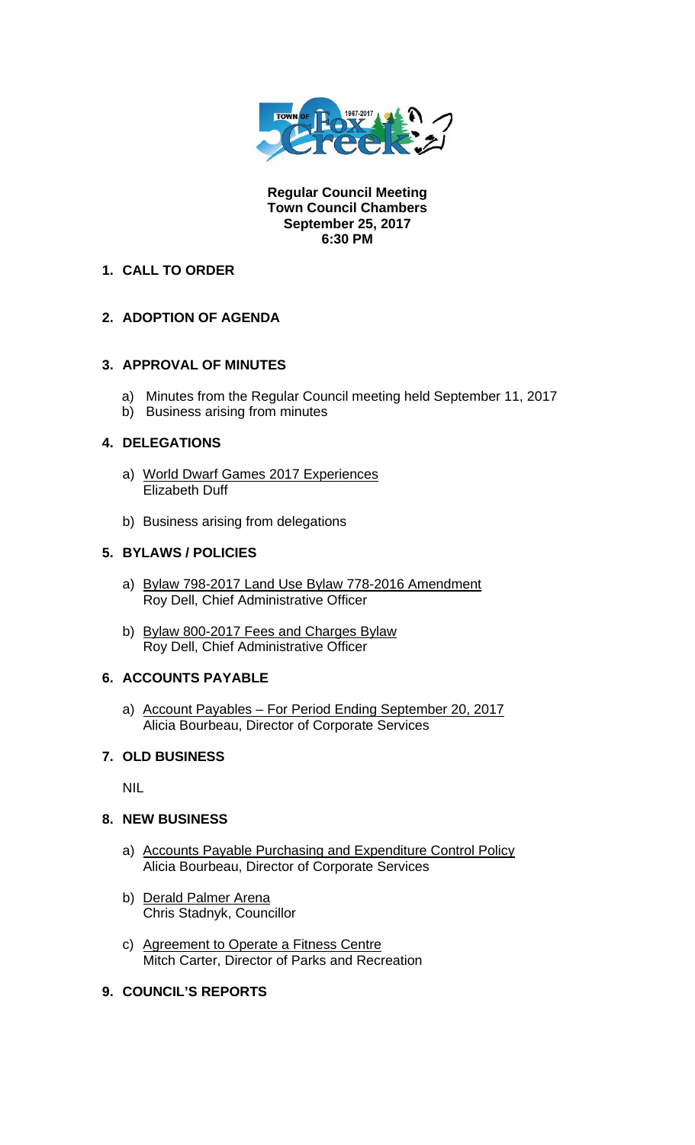

**Regular Council Meeting Town Council Chambers September 25, 2017 6:30 PM** 

# **1. CALL TO ORDER**

# **2. ADOPTION OF AGENDA**

### **3. APPROVAL OF MINUTES**

- a) Minutes from the Regular Council meeting held September 11, 2017
- b) Business arising from minutes

### **4. DELEGATIONS**

- a) World Dwarf Games 2017 Experiences Elizabeth Duff
- b) Business arising from delegations

### **5. BYLAWS / POLICIES**

- a) Bylaw 798-2017 Land Use Bylaw 778-2016 Amendment Roy Dell, Chief Administrative Officer
- b) Bylaw 800-2017 Fees and Charges Bylaw Roy Dell, Chief Administrative Officer

### **6. ACCOUNTS PAYABLE**

a) Account Payables – For Period Ending September 20, 2017 Alicia Bourbeau, Director of Corporate Services

### **7. OLD BUSINESS**

NIL

### **8. NEW BUSINESS**

- a) Accounts Payable Purchasing and Expenditure Control Policy Alicia Bourbeau, Director of Corporate Services
- b) Derald Palmer Arena Chris Stadnyk, Councillor
- c) Agreement to Operate a Fitness Centre Mitch Carter, Director of Parks and Recreation

## **9. COUNCIL'S REPORTS**